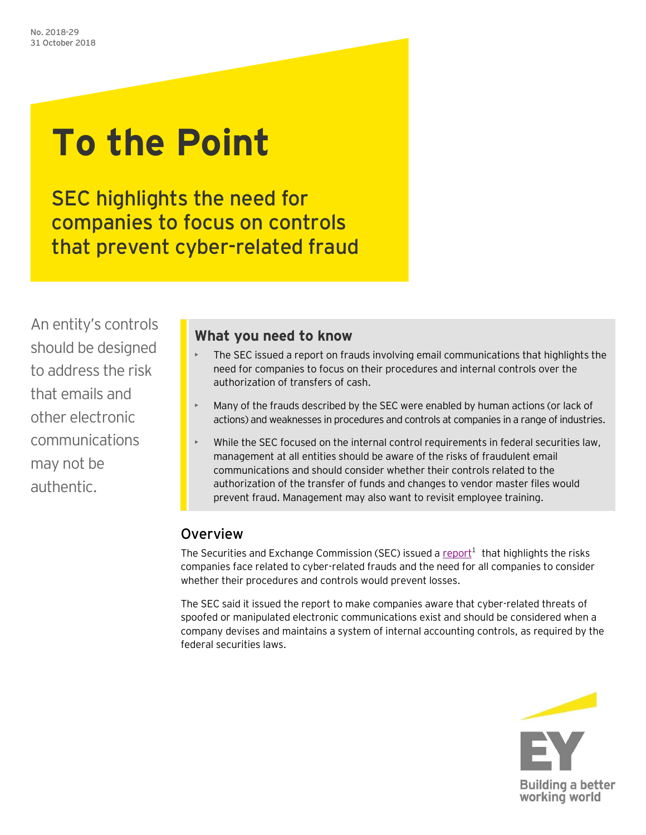# **To the Point**

SEC highlights the need for companies to focus on controls that prevent cyber-related fraud

An entity's controls should be designed to address the risk that emails and other electronic communications may not be authentic.

### **What you need to know**

- The SEC issued a report on frauds involving email communications that highlights the need for companies to focus on their procedures and internal controls over the authorization of transfers of cash.
- Many of the frauds described by the SEC were enabled by human actions (or lack of actions) and weaknesses in procedures and controls at companies in a range of industries.
- While the SEC focused on the internal control requirements in federal securities law, management at all entities should be aware of the risks of fraudulent email communications and should consider whether their controls related to the authorization of the transfer of funds and changes to vendor master files would prevent fraud. Management may also want to revisit employee training.

## Overview

The Securities and Exchange Commission (SEC) issued a  $report<sup>1</sup>$  that highlights the risks</u> companies face related to cyber-related frauds and the need for all companies to consider whether their procedures and controls would prevent losses.

The SEC said it issued the report to make companies aware that cyber-related threats of spoofed or manipulated electronic communications exist and should be considered when a company devises and maintains a system of internal accounting controls, as required by the federal securities laws.

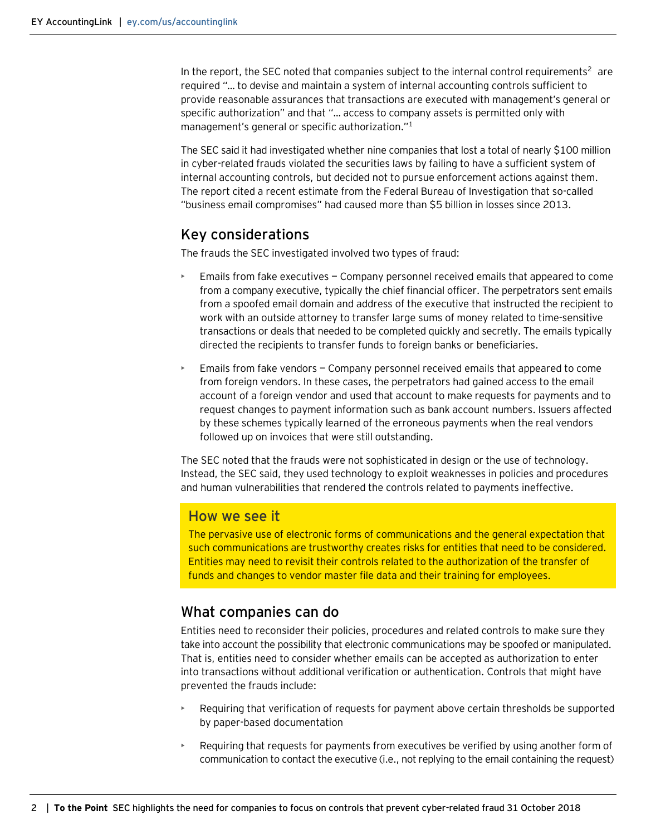In the report, the SEC noted that companies subject to the internal control requirements<sup>2</sup> are required "… to devise and maintain a system of internal accounting controls sufficient to provide reasonable assurances that transactions are executed with management's general or specific authorization" and that "… access to company assets is permitted only with management's general or specific authorization."<sup>1</sup>

The SEC said it had investigated whether nine companies that lost a total of nearly \$100 million in cyber-related frauds violated the securities laws by failing to have a sufficient system of internal accounting controls, but decided not to pursue enforcement actions against them. The report cited a recent estimate from the Federal Bureau of Investigation that so-called "business email compromises" had caused more than \$5 billion in losses since 2013.

#### Key considerations

The frauds the SEC investigated involved two types of fraud:

- Emails from fake executives Company personnel received emails that appeared to come from a company executive, typically the chief financial officer. The perpetrators sent emails from a spoofed email domain and address of the executive that instructed the recipient to work with an outside attorney to transfer large sums of money related to time-sensitive transactions or deals that needed to be completed quickly and secretly. The emails typically directed the recipients to transfer funds to foreign banks or beneficiaries.
- Emails from fake vendors Company personnel received emails that appeared to come from foreign vendors. In these cases, the perpetrators had gained access to the email account of a foreign vendor and used that account to make requests for payments and to request changes to payment information such as bank account numbers. Issuers affected by these schemes typically learned of the erroneous payments when the real vendors followed up on invoices that were still outstanding.

The SEC noted that the frauds were not sophisticated in design or the use of technology. Instead, the SEC said, they used technology to exploit weaknesses in policies and procedures and human vulnerabilities that rendered the controls related to payments ineffective.

#### How we see it

The pervasive use of electronic forms of communications and the general expectation that such communications are trustworthy creates risks for entities that need to be considered. Entities may need to revisit their controls related to the authorization of the transfer of funds and changes to vendor master file data and their training for employees.

#### What companies can do

Entities need to reconsider their policies, procedures and related controls to make sure they take into account the possibility that electronic communications may be spoofed or manipulated. That is, entities need to consider whether emails can be accepted as authorization to enter into transactions without additional verification or authentication. Controls that might have prevented the frauds include:

- Requiring that verification of requests for payment above certain thresholds be supported by paper-based documentation
- Requiring that requests for payments from executives be verified by using another form of communication to contact the executive (i.e., not replying to the email containing the request)